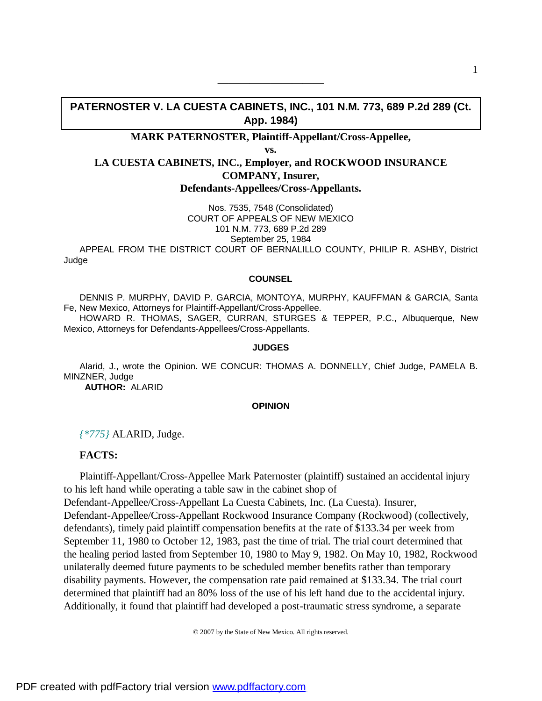# **PATERNOSTER V. LA CUESTA CABINETS, INC., 101 N.M. 773, 689 P.2d 289 (Ct. App. 1984)**

——————————

## **MARK PATERNOSTER, Plaintiff-Appellant/Cross-Appellee,**

**vs.**

# **LA CUESTA CABINETS, INC., Employer, and ROCKWOOD INSURANCE COMPANY, Insurer, Defendants-Appellees/Cross-Appellants.**

Nos. 7535, 7548 (Consolidated) COURT OF APPEALS OF NEW MEXICO 101 N.M. 773, 689 P.2d 289 September 25, 1984

APPEAL FROM THE DISTRICT COURT OF BERNALILLO COUNTY, PHILIP R. ASHBY, District Judge

#### **COUNSEL**

DENNIS P. MURPHY, DAVID P. GARCIA, MONTOYA, MURPHY, KAUFFMAN & GARCIA, Santa Fe, New Mexico, Attorneys for Plaintiff-Appellant/Cross-Appellee.

HOWARD R. THOMAS, SAGER, CURRAN, STURGES & TEPPER, P.C., Albuquerque, New Mexico, Attorneys for Defendants-Appellees/Cross-Appellants.

#### **JUDGES**

Alarid, J., wrote the Opinion. WE CONCUR: THOMAS A. DONNELLY, Chief Judge, PAMELA B. MINZNER, Judge

 **AUTHOR:** ALARID

#### **OPINION**

*{\*775}* ALARID, Judge.

## **FACTS:**

Plaintiff-Appellant/Cross-Appellee Mark Paternoster (plaintiff) sustained an accidental injury to his left hand while operating a table saw in the cabinet shop of

Defendant-Appellee/Cross-Appellant La Cuesta Cabinets, Inc. (La Cuesta). Insurer, Defendant-Appellee/Cross-Appellant Rockwood Insurance Company (Rockwood) (collectively, defendants), timely paid plaintiff compensation benefits at the rate of \$133.34 per week from September 11, 1980 to October 12, 1983, past the time of trial. The trial court determined that the healing period lasted from September 10, 1980 to May 9, 1982. On May 10, 1982, Rockwood unilaterally deemed future payments to be scheduled member benefits rather than temporary disability payments. However, the compensation rate paid remained at \$133.34. The trial court determined that plaintiff had an 80% loss of the use of his left hand due to the accidental injury. Additionally, it found that plaintiff had developed a post-traumatic stress syndrome, a separate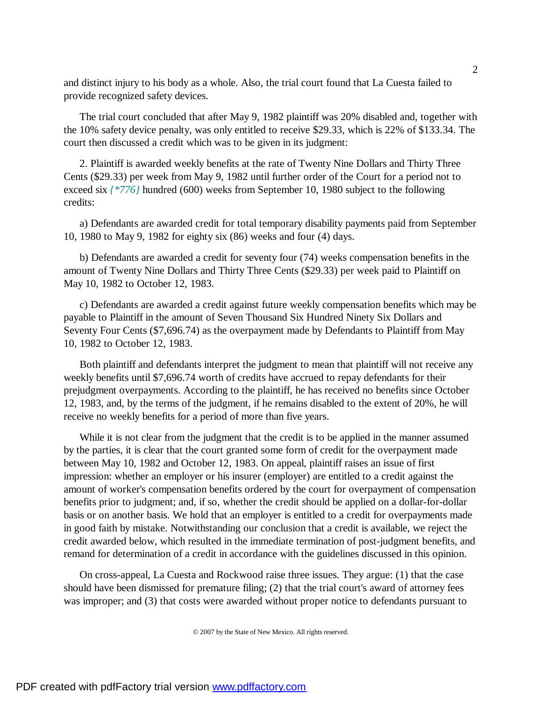and distinct injury to his body as a whole. Also, the trial court found that La Cuesta failed to provide recognized safety devices.

The trial court concluded that after May 9, 1982 plaintiff was 20% disabled and, together with the 10% safety device penalty, was only entitled to receive \$29.33, which is 22% of \$133.34. The court then discussed a credit which was to be given in its judgment:

2. Plaintiff is awarded weekly benefits at the rate of Twenty Nine Dollars and Thirty Three Cents (\$29.33) per week from May 9, 1982 until further order of the Court for a period not to exceed six  $\frac{\times 776}{$  hundred (600) weeks from September 10, 1980 subject to the following credits:

a) Defendants are awarded credit for total temporary disability payments paid from September 10, 1980 to May 9, 1982 for eighty six (86) weeks and four (4) days.

b) Defendants are awarded a credit for seventy four (74) weeks compensation benefits in the amount of Twenty Nine Dollars and Thirty Three Cents (\$29.33) per week paid to Plaintiff on May 10, 1982 to October 12, 1983.

c) Defendants are awarded a credit against future weekly compensation benefits which may be payable to Plaintiff in the amount of Seven Thousand Six Hundred Ninety Six Dollars and Seventy Four Cents (\$7,696.74) as the overpayment made by Defendants to Plaintiff from May 10, 1982 to October 12, 1983.

Both plaintiff and defendants interpret the judgment to mean that plaintiff will not receive any weekly benefits until \$7,696.74 worth of credits have accrued to repay defendants for their prejudgment overpayments. According to the plaintiff, he has received no benefits since October 12, 1983, and, by the terms of the judgment, if he remains disabled to the extent of 20%, he will receive no weekly benefits for a period of more than five years.

While it is not clear from the judgment that the credit is to be applied in the manner assumed by the parties, it is clear that the court granted some form of credit for the overpayment made between May 10, 1982 and October 12, 1983. On appeal, plaintiff raises an issue of first impression: whether an employer or his insurer (employer) are entitled to a credit against the amount of worker's compensation benefits ordered by the court for overpayment of compensation benefits prior to judgment; and, if so, whether the credit should be applied on a dollar-for-dollar basis or on another basis. We hold that an employer is entitled to a credit for overpayments made in good faith by mistake. Notwithstanding our conclusion that a credit is available, we reject the credit awarded below, which resulted in the immediate termination of post-judgment benefits, and remand for determination of a credit in accordance with the guidelines discussed in this opinion.

On cross-appeal, La Cuesta and Rockwood raise three issues. They argue: (1) that the case should have been dismissed for premature filing; (2) that the trial court's award of attorney fees was improper; and (3) that costs were awarded without proper notice to defendants pursuant to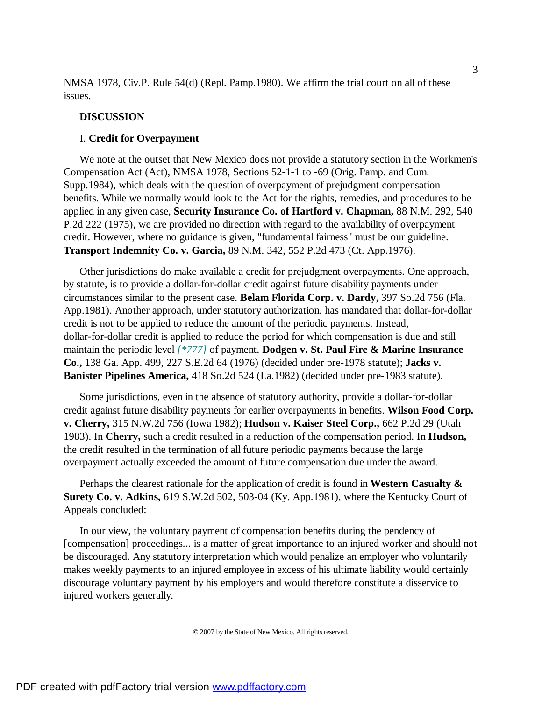NMSA 1978, Civ.P. Rule 54(d) (Repl. Pamp.1980). We affirm the trial court on all of these issues.

### **DISCUSSION**

## I. **Credit for Overpayment**

We note at the outset that New Mexico does not provide a statutory section in the Workmen's Compensation Act (Act), NMSA 1978, Sections 52-1-1 to -69 (Orig. Pamp. and Cum. Supp.1984), which deals with the question of overpayment of prejudgment compensation benefits. While we normally would look to the Act for the rights, remedies, and procedures to be applied in any given case, **Security Insurance Co. of Hartford v. Chapman,** 88 N.M. 292, 540 P.2d 222 (1975), we are provided no direction with regard to the availability of overpayment credit. However, where no guidance is given, "fundamental fairness" must be our guideline. **Transport Indemnity Co. v. Garcia,** 89 N.M. 342, 552 P.2d 473 (Ct. App.1976).

Other jurisdictions do make available a credit for prejudgment overpayments. One approach, by statute, is to provide a dollar-for-dollar credit against future disability payments under circumstances similar to the present case. **Belam Florida Corp. v. Dardy,** 397 So.2d 756 (Fla. App.1981). Another approach, under statutory authorization, has mandated that dollar-for-dollar credit is not to be applied to reduce the amount of the periodic payments. Instead, dollar-for-dollar credit is applied to reduce the period for which compensation is due and still maintain the periodic level *{\*777}* of payment. **Dodgen v. St. Paul Fire & Marine Insurance Co.,** 138 Ga. App. 499, 227 S.E.2d 64 (1976) (decided under pre-1978 statute); **Jacks v. Banister Pipelines America,** 418 So.2d 524 (La.1982) (decided under pre-1983 statute).

Some jurisdictions, even in the absence of statutory authority, provide a dollar-for-dollar credit against future disability payments for earlier overpayments in benefits. **Wilson Food Corp. v. Cherry,** 315 N.W.2d 756 (Iowa 1982); **Hudson v. Kaiser Steel Corp.,** 662 P.2d 29 (Utah 1983). In **Cherry,** such a credit resulted in a reduction of the compensation period. In **Hudson,** the credit resulted in the termination of all future periodic payments because the large overpayment actually exceeded the amount of future compensation due under the award.

Perhaps the clearest rationale for the application of credit is found in **Western Casualty & Surety Co. v. Adkins,** 619 S.W.2d 502, 503-04 (Ky. App.1981), where the Kentucky Court of Appeals concluded:

In our view, the voluntary payment of compensation benefits during the pendency of [compensation] proceedings... is a matter of great importance to an injured worker and should not be discouraged. Any statutory interpretation which would penalize an employer who voluntarily makes weekly payments to an injured employee in excess of his ultimate liability would certainly discourage voluntary payment by his employers and would therefore constitute a disservice to injured workers generally.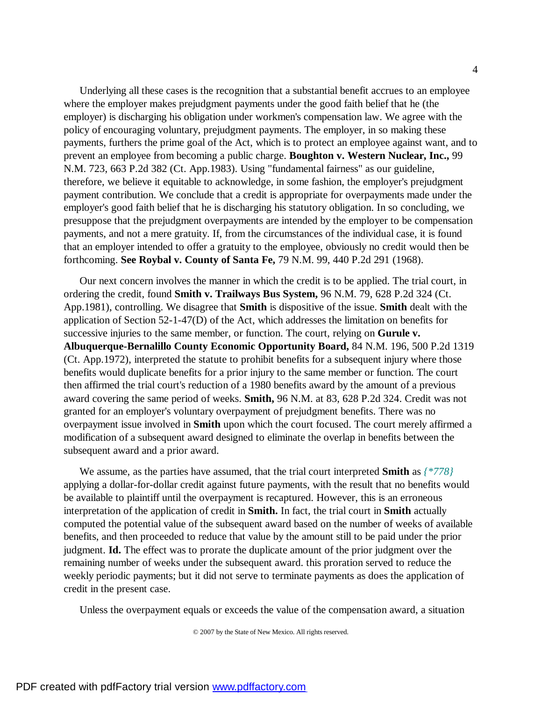Underlying all these cases is the recognition that a substantial benefit accrues to an employee where the employer makes prejudgment payments under the good faith belief that he (the employer) is discharging his obligation under workmen's compensation law. We agree with the policy of encouraging voluntary, prejudgment payments. The employer, in so making these payments, furthers the prime goal of the Act, which is to protect an employee against want, and to prevent an employee from becoming a public charge. **Boughton v. Western Nuclear, Inc.,** 99 N.M. 723, 663 P.2d 382 (Ct. App.1983). Using "fundamental fairness" as our guideline, therefore, we believe it equitable to acknowledge, in some fashion, the employer's prejudgment payment contribution. We conclude that a credit is appropriate for overpayments made under the employer's good faith belief that he is discharging his statutory obligation. In so concluding, we presuppose that the prejudgment overpayments are intended by the employer to be compensation payments, and not a mere gratuity. If, from the circumstances of the individual case, it is found that an employer intended to offer a gratuity to the employee, obviously no credit would then be forthcoming. **See Roybal v. County of Santa Fe,** 79 N.M. 99, 440 P.2d 291 (1968).

Our next concern involves the manner in which the credit is to be applied. The trial court, in ordering the credit, found **Smith v. Trailways Bus System,** 96 N.M. 79, 628 P.2d 324 (Ct. App.1981), controlling. We disagree that **Smith** is dispositive of the issue. **Smith** dealt with the application of Section 52-1-47(D) of the Act, which addresses the limitation on benefits for successive injuries to the same member, or function. The court, relying on **Gurule v. Albuquerque-Bernalillo County Economic Opportunity Board,** 84 N.M. 196, 500 P.2d 1319 (Ct. App.1972), interpreted the statute to prohibit benefits for a subsequent injury where those benefits would duplicate benefits for a prior injury to the same member or function. The court then affirmed the trial court's reduction of a 1980 benefits award by the amount of a previous award covering the same period of weeks. **Smith,** 96 N.M. at 83, 628 P.2d 324. Credit was not granted for an employer's voluntary overpayment of prejudgment benefits. There was no overpayment issue involved in **Smith** upon which the court focused. The court merely affirmed a modification of a subsequent award designed to eliminate the overlap in benefits between the subsequent award and a prior award.

We assume, as the parties have assumed, that the trial court interpreted **Smith** as *{\*778}* applying a dollar-for-dollar credit against future payments, with the result that no benefits would be available to plaintiff until the overpayment is recaptured. However, this is an erroneous interpretation of the application of credit in **Smith.** In fact, the trial court in **Smith** actually computed the potential value of the subsequent award based on the number of weeks of available benefits, and then proceeded to reduce that value by the amount still to be paid under the prior judgment. **Id.** The effect was to prorate the duplicate amount of the prior judgment over the remaining number of weeks under the subsequent award. this proration served to reduce the weekly periodic payments; but it did not serve to terminate payments as does the application of credit in the present case.

Unless the overpayment equals or exceeds the value of the compensation award, a situation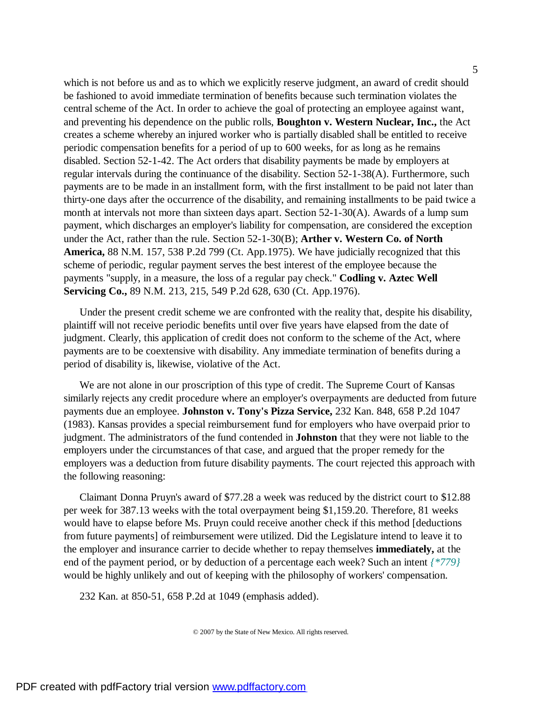which is not before us and as to which we explicitly reserve judgment, an award of credit should be fashioned to avoid immediate termination of benefits because such termination violates the central scheme of the Act. In order to achieve the goal of protecting an employee against want, and preventing his dependence on the public rolls, **Boughton v. Western Nuclear, Inc.,** the Act creates a scheme whereby an injured worker who is partially disabled shall be entitled to receive periodic compensation benefits for a period of up to 600 weeks, for as long as he remains disabled. Section 52-1-42. The Act orders that disability payments be made by employers at regular intervals during the continuance of the disability. Section 52-1-38(A). Furthermore, such payments are to be made in an installment form, with the first installment to be paid not later than thirty-one days after the occurrence of the disability, and remaining installments to be paid twice a month at intervals not more than sixteen days apart. Section 52-1-30(A). Awards of a lump sum payment, which discharges an employer's liability for compensation, are considered the exception under the Act, rather than the rule. Section 52-1-30(B); **Arther v. Western Co. of North America,** 88 N.M. 157, 538 P.2d 799 (Ct. App.1975). We have judicially recognized that this scheme of periodic, regular payment serves the best interest of the employee because the payments "supply, in a measure, the loss of a regular pay check." **Codling v. Aztec Well Servicing Co.,** 89 N.M. 213, 215, 549 P.2d 628, 630 (Ct. App.1976).

Under the present credit scheme we are confronted with the reality that, despite his disability, plaintiff will not receive periodic benefits until over five years have elapsed from the date of judgment. Clearly, this application of credit does not conform to the scheme of the Act, where payments are to be coextensive with disability. Any immediate termination of benefits during a period of disability is, likewise, violative of the Act.

We are not alone in our proscription of this type of credit. The Supreme Court of Kansas similarly rejects any credit procedure where an employer's overpayments are deducted from future payments due an employee. **Johnston v. Tony's Pizza Service,** 232 Kan. 848, 658 P.2d 1047 (1983). Kansas provides a special reimbursement fund for employers who have overpaid prior to judgment. The administrators of the fund contended in **Johnston** that they were not liable to the employers under the circumstances of that case, and argued that the proper remedy for the employers was a deduction from future disability payments. The court rejected this approach with the following reasoning:

Claimant Donna Pruyn's award of \$77.28 a week was reduced by the district court to \$12.88 per week for 387.13 weeks with the total overpayment being \$1,159.20. Therefore, 81 weeks would have to elapse before Ms. Pruyn could receive another check if this method [deductions from future payments] of reimbursement were utilized. Did the Legislature intend to leave it to the employer and insurance carrier to decide whether to repay themselves **immediately,** at the end of the payment period, or by deduction of a percentage each week? Such an intent *{\*779}* would be highly unlikely and out of keeping with the philosophy of workers' compensation.

232 Kan. at 850-51, 658 P.2d at 1049 (emphasis added).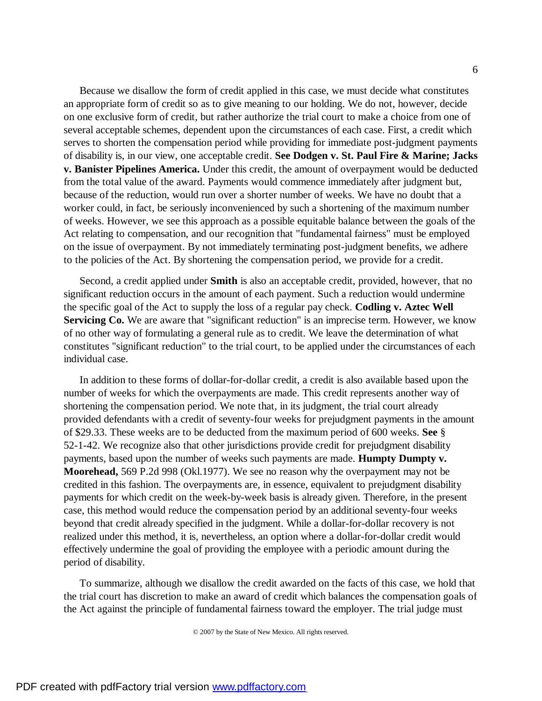Because we disallow the form of credit applied in this case, we must decide what constitutes an appropriate form of credit so as to give meaning to our holding. We do not, however, decide on one exclusive form of credit, but rather authorize the trial court to make a choice from one of several acceptable schemes, dependent upon the circumstances of each case. First, a credit which serves to shorten the compensation period while providing for immediate post-judgment payments of disability is, in our view, one acceptable credit. **See Dodgen v. St. Paul Fire & Marine; Jacks v. Banister Pipelines America.** Under this credit, the amount of overpayment would be deducted from the total value of the award. Payments would commence immediately after judgment but, because of the reduction, would run over a shorter number of weeks. We have no doubt that a worker could, in fact, be seriously inconvenienced by such a shortening of the maximum number of weeks. However, we see this approach as a possible equitable balance between the goals of the Act relating to compensation, and our recognition that "fundamental fairness" must be employed on the issue of overpayment. By not immediately terminating post-judgment benefits, we adhere to the policies of the Act. By shortening the compensation period, we provide for a credit.

Second, a credit applied under **Smith** is also an acceptable credit, provided, however, that no significant reduction occurs in the amount of each payment. Such a reduction would undermine the specific goal of the Act to supply the loss of a regular pay check. **Codling v. Aztec Well Servicing Co.** We are aware that "significant reduction" is an imprecise term. However, we know of no other way of formulating a general rule as to credit. We leave the determination of what constitutes "significant reduction" to the trial court, to be applied under the circumstances of each individual case.

In addition to these forms of dollar-for-dollar credit, a credit is also available based upon the number of weeks for which the overpayments are made. This credit represents another way of shortening the compensation period. We note that, in its judgment, the trial court already provided defendants with a credit of seventy-four weeks for prejudgment payments in the amount of \$29.33. These weeks are to be deducted from the maximum period of 600 weeks. **See** § 52-1-42. We recognize also that other jurisdictions provide credit for prejudgment disability payments, based upon the number of weeks such payments are made. **Humpty Dumpty v. Moorehead,** 569 P.2d 998 (Okl.1977). We see no reason why the overpayment may not be credited in this fashion. The overpayments are, in essence, equivalent to prejudgment disability payments for which credit on the week-by-week basis is already given. Therefore, in the present case, this method would reduce the compensation period by an additional seventy-four weeks beyond that credit already specified in the judgment. While a dollar-for-dollar recovery is not realized under this method, it is, nevertheless, an option where a dollar-for-dollar credit would effectively undermine the goal of providing the employee with a periodic amount during the period of disability.

To summarize, although we disallow the credit awarded on the facts of this case, we hold that the trial court has discretion to make an award of credit which balances the compensation goals of the Act against the principle of fundamental fairness toward the employer. The trial judge must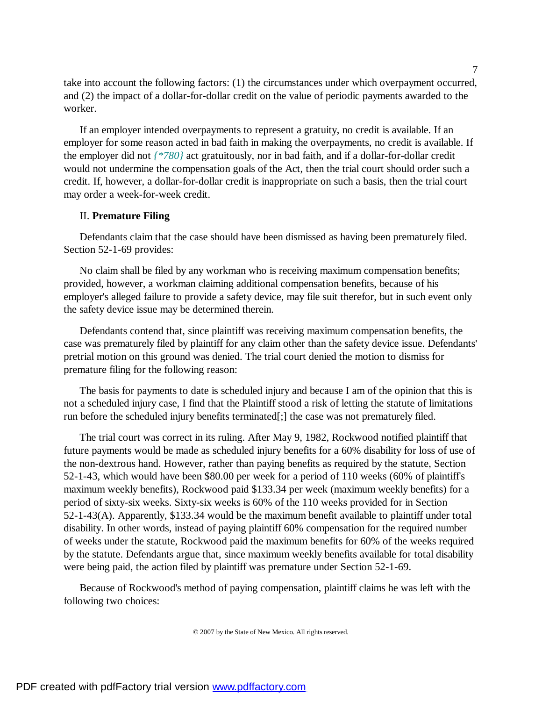take into account the following factors: (1) the circumstances under which overpayment occurred, and (2) the impact of a dollar-for-dollar credit on the value of periodic payments awarded to the worker.

If an employer intended overpayments to represent a gratuity, no credit is available. If an employer for some reason acted in bad faith in making the overpayments, no credit is available. If the employer did not *{\*780}* act gratuitously, nor in bad faith, and if a dollar-for-dollar credit would not undermine the compensation goals of the Act, then the trial court should order such a credit. If, however, a dollar-for-dollar credit is inappropriate on such a basis, then the trial court may order a week-for-week credit.

#### II. **Premature Filing**

Defendants claim that the case should have been dismissed as having been prematurely filed. Section 52-1-69 provides:

No claim shall be filed by any workman who is receiving maximum compensation benefits; provided, however, a workman claiming additional compensation benefits, because of his employer's alleged failure to provide a safety device, may file suit therefor, but in such event only the safety device issue may be determined therein.

Defendants contend that, since plaintiff was receiving maximum compensation benefits, the case was prematurely filed by plaintiff for any claim other than the safety device issue. Defendants' pretrial motion on this ground was denied. The trial court denied the motion to dismiss for premature filing for the following reason:

The basis for payments to date is scheduled injury and because I am of the opinion that this is not a scheduled injury case, I find that the Plaintiff stood a risk of letting the statute of limitations run before the scheduled injury benefits terminated[;] the case was not prematurely filed.

The trial court was correct in its ruling. After May 9, 1982, Rockwood notified plaintiff that future payments would be made as scheduled injury benefits for a 60% disability for loss of use of the non-dextrous hand. However, rather than paying benefits as required by the statute, Section 52-1-43, which would have been \$80.00 per week for a period of 110 weeks (60% of plaintiff's maximum weekly benefits), Rockwood paid \$133.34 per week (maximum weekly benefits) for a period of sixty-six weeks. Sixty-six weeks is 60% of the 110 weeks provided for in Section 52-1-43(A). Apparently, \$133.34 would be the maximum benefit available to plaintiff under total disability. In other words, instead of paying plaintiff 60% compensation for the required number of weeks under the statute, Rockwood paid the maximum benefits for 60% of the weeks required by the statute. Defendants argue that, since maximum weekly benefits available for total disability were being paid, the action filed by plaintiff was premature under Section 52-1-69.

Because of Rockwood's method of paying compensation, plaintiff claims he was left with the following two choices: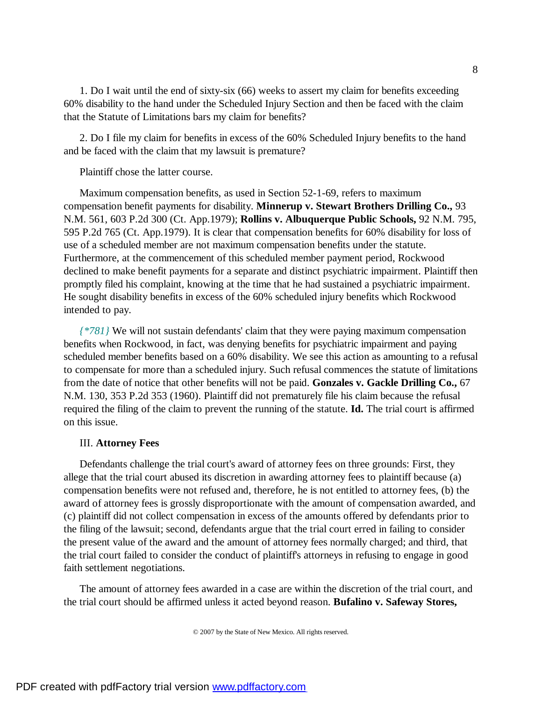1. Do I wait until the end of sixty-six (66) weeks to assert my claim for benefits exceeding 60% disability to the hand under the Scheduled Injury Section and then be faced with the claim that the Statute of Limitations bars my claim for benefits?

2. Do I file my claim for benefits in excess of the 60% Scheduled Injury benefits to the hand and be faced with the claim that my lawsuit is premature?

Plaintiff chose the latter course.

Maximum compensation benefits, as used in Section 52-1-69, refers to maximum compensation benefit payments for disability. **Minnerup v. Stewart Brothers Drilling Co.,** 93 N.M. 561, 603 P.2d 300 (Ct. App.1979); **Rollins v. Albuquerque Public Schools,** 92 N.M. 795, 595 P.2d 765 (Ct. App.1979). It is clear that compensation benefits for 60% disability for loss of use of a scheduled member are not maximum compensation benefits under the statute. Furthermore, at the commencement of this scheduled member payment period, Rockwood declined to make benefit payments for a separate and distinct psychiatric impairment. Plaintiff then promptly filed his complaint, knowing at the time that he had sustained a psychiatric impairment. He sought disability benefits in excess of the 60% scheduled injury benefits which Rockwood intended to pay.

*{\*781}* We will not sustain defendants' claim that they were paying maximum compensation benefits when Rockwood, in fact, was denying benefits for psychiatric impairment and paying scheduled member benefits based on a 60% disability. We see this action as amounting to a refusal to compensate for more than a scheduled injury. Such refusal commences the statute of limitations from the date of notice that other benefits will not be paid. **Gonzales v. Gackle Drilling Co.,** 67 N.M. 130, 353 P.2d 353 (1960). Plaintiff did not prematurely file his claim because the refusal required the filing of the claim to prevent the running of the statute. **Id.** The trial court is affirmed on this issue.

## III. **Attorney Fees**

Defendants challenge the trial court's award of attorney fees on three grounds: First, they allege that the trial court abused its discretion in awarding attorney fees to plaintiff because (a) compensation benefits were not refused and, therefore, he is not entitled to attorney fees, (b) the award of attorney fees is grossly disproportionate with the amount of compensation awarded, and (c) plaintiff did not collect compensation in excess of the amounts offered by defendants prior to the filing of the lawsuit; second, defendants argue that the trial court erred in failing to consider the present value of the award and the amount of attorney fees normally charged; and third, that the trial court failed to consider the conduct of plaintiff's attorneys in refusing to engage in good faith settlement negotiations.

The amount of attorney fees awarded in a case are within the discretion of the trial court, and the trial court should be affirmed unless it acted beyond reason. **Bufalino v. Safeway Stores,**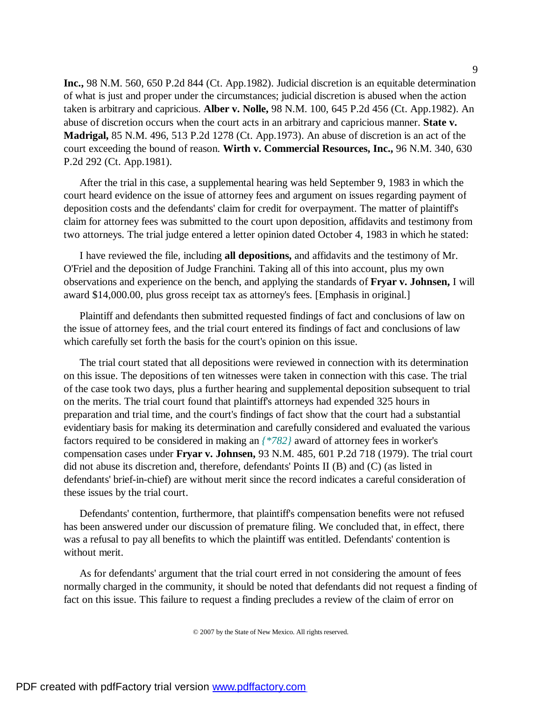**Inc.,** 98 N.M. 560, 650 P.2d 844 (Ct. App.1982). Judicial discretion is an equitable determination of what is just and proper under the circumstances; judicial discretion is abused when the action taken is arbitrary and capricious. **Alber v. Nolle,** 98 N.M. 100, 645 P.2d 456 (Ct. App.1982). An abuse of discretion occurs when the court acts in an arbitrary and capricious manner. **State v. Madrigal,** 85 N.M. 496, 513 P.2d 1278 (Ct. App.1973). An abuse of discretion is an act of the court exceeding the bound of reason. **Wirth v. Commercial Resources, Inc.,** 96 N.M. 340, 630 P.2d 292 (Ct. App.1981).

After the trial in this case, a supplemental hearing was held September 9, 1983 in which the court heard evidence on the issue of attorney fees and argument on issues regarding payment of deposition costs and the defendants' claim for credit for overpayment. The matter of plaintiff's claim for attorney fees was submitted to the court upon deposition, affidavits and testimony from two attorneys. The trial judge entered a letter opinion dated October 4, 1983 in which he stated:

I have reviewed the file, including **all depositions,** and affidavits and the testimony of Mr. O'Friel and the deposition of Judge Franchini. Taking all of this into account, plus my own observations and experience on the bench, and applying the standards of **Fryar v. Johnsen,** I will award \$14,000.00, plus gross receipt tax as attorney's fees. [Emphasis in original.]

Plaintiff and defendants then submitted requested findings of fact and conclusions of law on the issue of attorney fees, and the trial court entered its findings of fact and conclusions of law which carefully set forth the basis for the court's opinion on this issue.

The trial court stated that all depositions were reviewed in connection with its determination on this issue. The depositions of ten witnesses were taken in connection with this case. The trial of the case took two days, plus a further hearing and supplemental deposition subsequent to trial on the merits. The trial court found that plaintiff's attorneys had expended 325 hours in preparation and trial time, and the court's findings of fact show that the court had a substantial evidentiary basis for making its determination and carefully considered and evaluated the various factors required to be considered in making an *{\*782}* award of attorney fees in worker's compensation cases under **Fryar v. Johnsen,** 93 N.M. 485, 601 P.2d 718 (1979). The trial court did not abuse its discretion and, therefore, defendants' Points II (B) and (C) (as listed in defendants' brief-in-chief) are without merit since the record indicates a careful consideration of these issues by the trial court.

Defendants' contention, furthermore, that plaintiff's compensation benefits were not refused has been answered under our discussion of premature filing. We concluded that, in effect, there was a refusal to pay all benefits to which the plaintiff was entitled. Defendants' contention is without merit.

As for defendants' argument that the trial court erred in not considering the amount of fees normally charged in the community, it should be noted that defendants did not request a finding of fact on this issue. This failure to request a finding precludes a review of the claim of error on